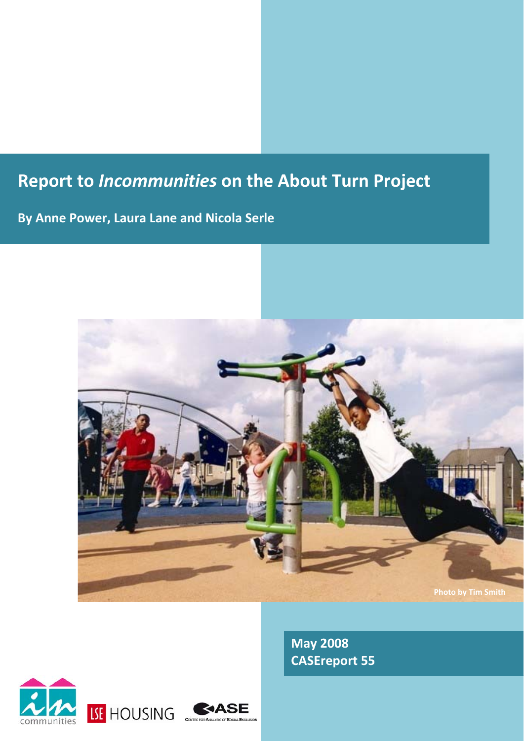# **Report to** *Incommunities* **on the About Turn Project**

**By Anne Power, Laura Lane and Nicola Serle**



**May 2008 CASEreport 55**



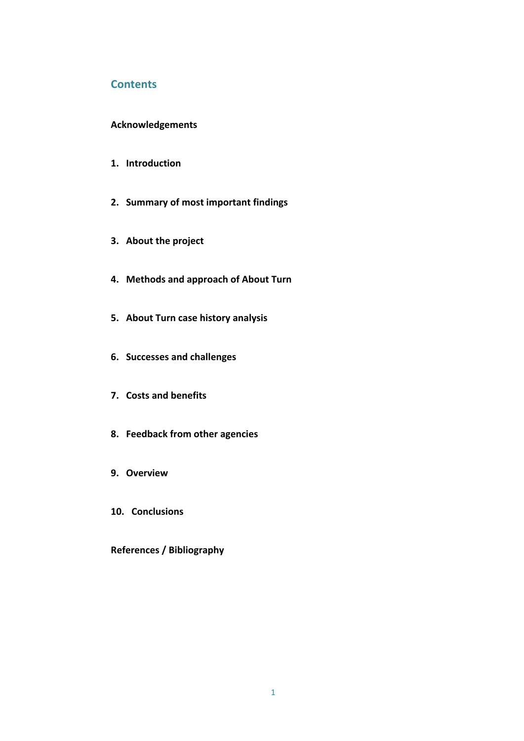# **Contents**

## **Acknowledgements**

- **1. Introduction**
- **2. Summary of most important findings**
- **3. About the project**
- **4. Methods and approach of About Turn**
- **5. About Turn case history analysis**
- **6. Successes and challenges**
- **7. Costs and benefits**
- **8. Feedback from other agencies**
- **9. Overview**
- **10. Conclusions**

**References / Bibliography**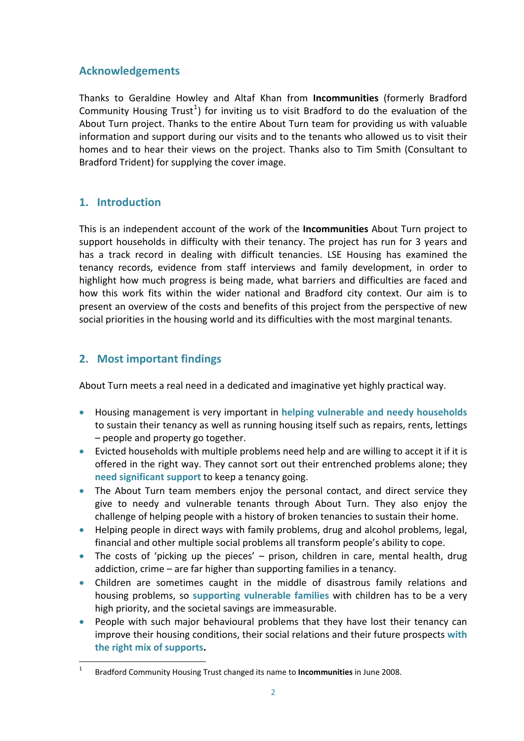# **Acknowledgements**

Thanks to Geraldine Howley and Altaf Khan from **Incommunities** (formerly Bradford Community Housing Trust<sup>[1](#page-2-0)</sup>) for inviting us to visit Bradford to do the evaluation of the About Turn project. Thanks to the entire About Turn team for providing us with valuable information and support during our visits and to the tenants who allowed us to visit their homes and to hear their views on the project. Thanks also to Tim Smith (Consultant to Bradford Trident) for supplying the cover image.

# **1. Introduction**

This is an independent account of the work of the **Incommunities** About Turn project to support households in difficulty with their tenancy. The project has run for 3 years and has a track record in dealing with difficult tenancies. LSE Housing has examined the tenancy records, evidence from staff interviews and family development, in order to highlight how much progress is being made, what barriers and difficulties are faced and how this work fits within the wider national and Bradford city context. Our aim is to present an overview of the costs and benefits of this project from the perspective of new social priorities in the housing world and its difficulties with the most marginal tenants.

# **2. Most important findings**

About Turn meets a real need in a dedicated and imaginative yet highly practical way.

- Housing management is very important in **helping vulnerable and needy households** to sustain their tenancy as well as running housing itself such as repairs, rents, lettings – people and property go together.
- Evicted households with multiple problems need help and are willing to accept it if it is offered in the right way. They cannot sort out their entrenched problems alone; they **need significant support** to keep a tenancy going.
- The About Turn team members enjoy the personal contact, and direct service they give to needy and vulnerable tenants through About Turn. They also enjoy the challenge of helping people with a history of broken tenancies to sustain their home.
- Helping people in direct ways with family problems, drug and alcohol problems, legal, financial and other multiple social problems all transform people's ability to cope.
- The costs of 'picking up the pieces' prison, children in care, mental health, drug addiction, crime – are far higher than supporting families in a tenancy.
- Children are sometimes caught in the middle of disastrous family relations and housing problems, so **supporting vulnerable families** with children has to be a very high priority, and the societal savings are immeasurable.
- People with such major behavioural problems that they have lost their tenancy can improve their housing conditions, their social relations and their future prospects **with the right mix of supports.**

<span id="page-2-0"></span> $\frac{1}{1}$ Bradford Community Housing Trust changed its name to **Incommunities** in June 2008.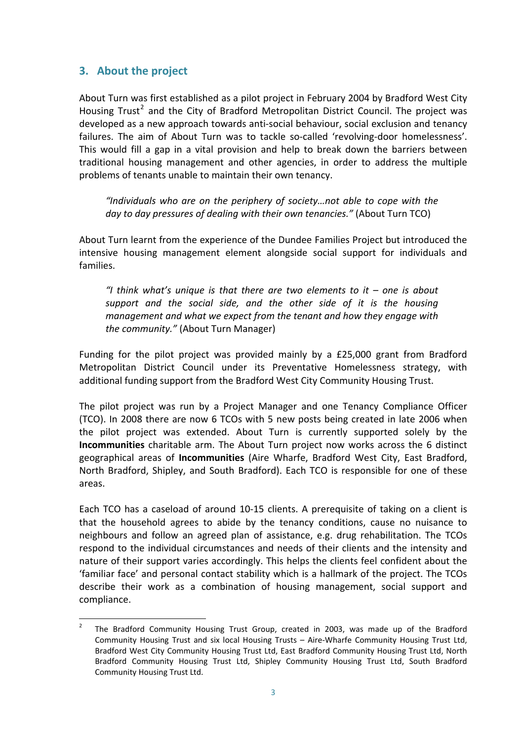# **3. About the project**

About Turn was first established as a pilot project in February 2004 by Bradford West City Housing Trust<sup>[2](#page-3-0)</sup> and the City of Bradford Metropolitan District Council. The project was developed as a new approach towards anti‐social behaviour, social exclusion and tenancy failures. The aim of About Turn was to tackle so-called 'revolving-door homelessness'. This would fill a gap in a vital provision and help to break down the barriers between traditional housing management and other agencies, in order to address the multiple problems of tenants unable to maintain their own tenancy.

*"Individuals who are on the periphery of society…not able to cope with the day to day pressures of dealing with their own tenancies."* (About Turn TCO)

About Turn learnt from the experience of the Dundee Families Project but introduced the intensive housing management element alongside social support for individuals and families.

*"I think what's unique is that there are two elements to it – one is about support and the social side, and the other side of it is the housing management and what we expect from the tenant and how they engage with the community."* (About Turn Manager)

Funding for the pilot project was provided mainly by a £25,000 grant from Bradford Metropolitan District Council under its Preventative Homelessness strategy, with additional funding support from the Bradford West City Community Housing Trust.

The pilot project was run by a Project Manager and one Tenancy Compliance Officer (TCO). In 2008 there are now 6 TCOs with 5 new posts being created in late 2006 when the pilot project was extended. About Turn is currently supported solely by the **Incommunities** charitable arm. The About Turn project now works across the 6 distinct geographical areas of **Incommunities** (Aire Wharfe, Bradford West City, East Bradford, North Bradford, Shipley, and South Bradford). Each TCO is responsible for one of these areas.

Each TCO has a caseload of around 10‐15 clients. A prerequisite of taking on a client is that the household agrees to abide by the tenancy conditions, cause no nuisance to neighbours and follow an agreed plan of assistance, e.g. drug rehabilitation. The TCOs respond to the individual circumstances and needs of their clients and the intensity and nature of their support varies accordingly. This helps the clients feel confident about the 'familiar face' and personal contact stability which is a hallmark of the project. The TCOs describe their work as a combination of housing management, social support and compliance.

<span id="page-3-0"></span> $\frac{1}{2}$  The Bradford Community Housing Trust Group, created in 2003, was made up of the Bradford Community Housing Trust and six local Housing Trusts – Aire‐Wharfe Community Housing Trust Ltd, Bradford West City Community Housing Trust Ltd, East Bradford Community Housing Trust Ltd, North Bradford Community Housing Trust Ltd, Shipley Community Housing Trust Ltd, South Bradford Community Housing Trust Ltd.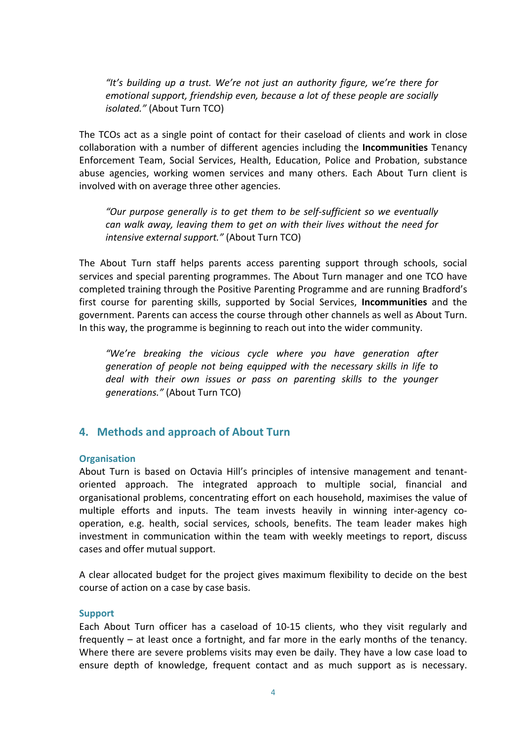*"It's building up a trust. We're not just an authority figure, we're there for emotional support, friendship even, because a lot of these people are socially isolated."* (About Turn TCO)

The TCOs act as a single point of contact for their caseload of clients and work in close collaboration with a number of different agencies including the **Incommunities** Tenancy Enforcement Team, Social Services, Health, Education, Police and Probation, substance abuse agencies, working women services and many others. Each About Turn client is involved with on average three other agencies.

*"Our purpose generally is to get them to be self‐sufficient so we eventually can walk away, leaving them to get on with their lives without the need for intensive external support."* (About Turn TCO)

The About Turn staff helps parents access parenting support through schools, social services and special parenting programmes. The About Turn manager and one TCO have completed training through the Positive Parenting Programme and are running Bradford's first course for parenting skills, supported by Social Services, **Incommunities** and the government. Parents can access the course through other channels as well as About Turn. In this way, the programme is beginning to reach out into the wider community.

*"We're breaking the vicious cycle where you have generation after generation of people not being equipped with the necessary skills in life to deal with their own issues or pass on parenting skills to the younger generations."* (About Turn TCO)

# **4. Methods and approach of About Turn**

## **Organisation**

About Turn is based on Octavia Hill's principles of intensive management and tenant‐ oriented approach. The integrated approach to multiple social, financial and organisational problems, concentrating effort on each household, maximises the value of multiple efforts and inputs. The team invests heavily in winning inter-agency cooperation, e.g. health, social services, schools, benefits. The team leader makes high investment in communication within the team with weekly meetings to report, discuss cases and offer mutual support.

A clear allocated budget for the project gives maximum flexibility to decide on the best course of action on a case by case basis.

#### **Support**

Each About Turn officer has a caseload of 10‐15 clients, who they visit regularly and frequently – at least once a fortnight, and far more in the early months of the tenancy. Where there are severe problems visits may even be daily. They have a low case load to ensure depth of knowledge, frequent contact and as much support as is necessary.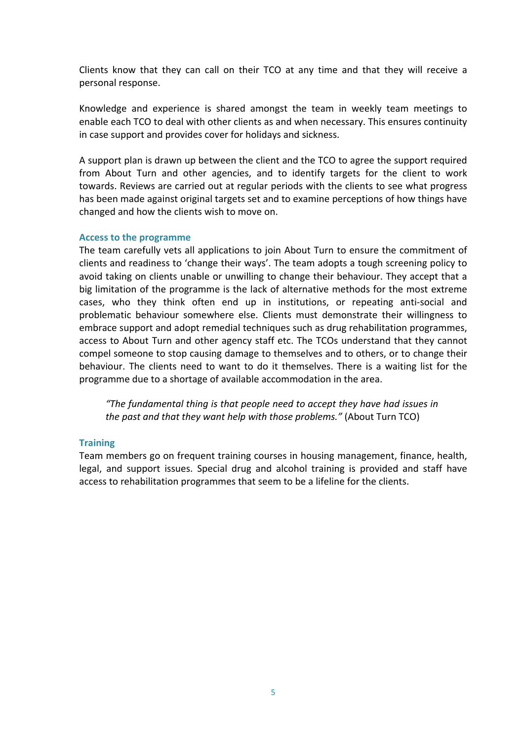Clients know that they can call on their TCO at any time and that they will receive a personal response.

Knowledge and experience is shared amongst the team in weekly team meetings to enable each TCO to deal with other clients as and when necessary. This ensures continuity in case support and provides cover for holidays and sickness.

A support plan is drawn up between the client and the TCO to agree the support required from About Turn and other agencies, and to identify targets for the client to work towards. Reviews are carried out at regular periods with the clients to see what progress has been made against original targets set and to examine perceptions of how things have changed and how the clients wish to move on.

## **Access to the programme**

The team carefully vets all applications to join About Turn to ensure the commitment of clients and readiness to 'change their ways'. The team adopts a tough screening policy to avoid taking on clients unable or unwilling to change their behaviour. They accept that a big limitation of the programme is the lack of alternative methods for the most extreme cases, who they think often end up in institutions, or repeating anti‐social and problematic behaviour somewhere else. Clients must demonstrate their willingness to embrace support and adopt remedial techniques such as drug rehabilitation programmes, access to About Turn and other agency staff etc. The TCOs understand that they cannot compel someone to stop causing damage to themselves and to others, or to change their behaviour. The clients need to want to do it themselves. There is a waiting list for the programme due to a shortage of available accommodation in the area.

*"The fundamental thing is that people need to accept they have had issues in the past and that they want help with those problems."* (About Turn TCO)

## **Training**

Team members go on frequent training courses in housing management, finance, health, legal, and support issues. Special drug and alcohol training is provided and staff have access to rehabilitation programmes that seem to be a lifeline for the clients.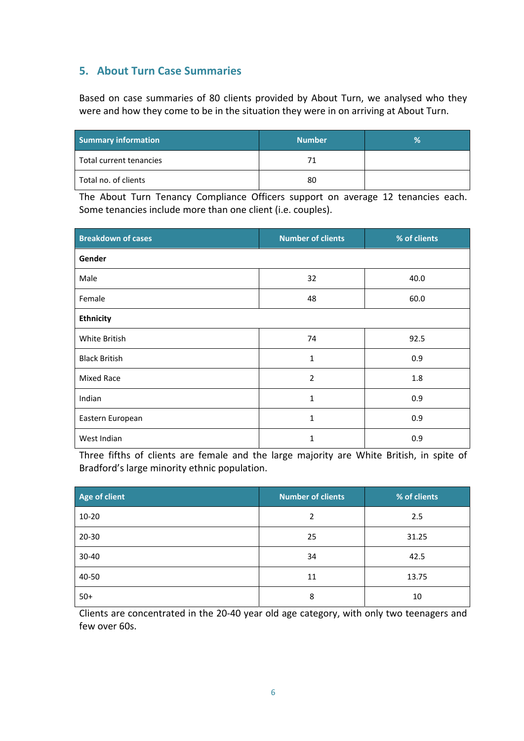# **5. About Turn Case Summaries**

Based on case summaries of 80 clients provided by About Turn, we analysed who they were and how they come to be in the situation they were in on arriving at About Turn.

| <b>Summary information</b> | <b>Number</b> | Ŷ. |
|----------------------------|---------------|----|
| Total current tenancies    | 71            |    |
| Total no. of clients       | 80            |    |

The About Turn Tenancy Compliance Officers support on average 12 tenancies each. Some tenancies include more than one client (i.e. couples).

| <b>Breakdown of cases</b> | <b>Number of clients</b> | % of clients |
|---------------------------|--------------------------|--------------|
| Gender                    |                          |              |
| Male                      | 32                       | 40.0         |
| Female                    | 48                       | 60.0         |
| <b>Ethnicity</b>          |                          |              |
| White British             | 74                       | 92.5         |
| <b>Black British</b>      | $\mathbf{1}$             | 0.9          |
| Mixed Race                | $\overline{2}$           | 1.8          |
| Indian                    | $\mathbf{1}$             | 0.9          |
| Eastern European          | $\mathbf{1}$             | 0.9          |
| West Indian               | 1                        | 0.9          |

Three fifths of clients are female and the large majority are White British, in spite of Bradford's large minority ethnic population.

| Age of client | <b>Number of clients</b> | % of clients |
|---------------|--------------------------|--------------|
| $10 - 20$     | 2                        | 2.5          |
| $20 - 30$     | 25                       | 31.25        |
| 30-40         | 34                       | 42.5         |
| 40-50         | 11                       | 13.75        |
| $50+$         | 8                        | 10           |

Clients are concentrated in the 20‐40 year old age category, with only two teenagers and few over 60s.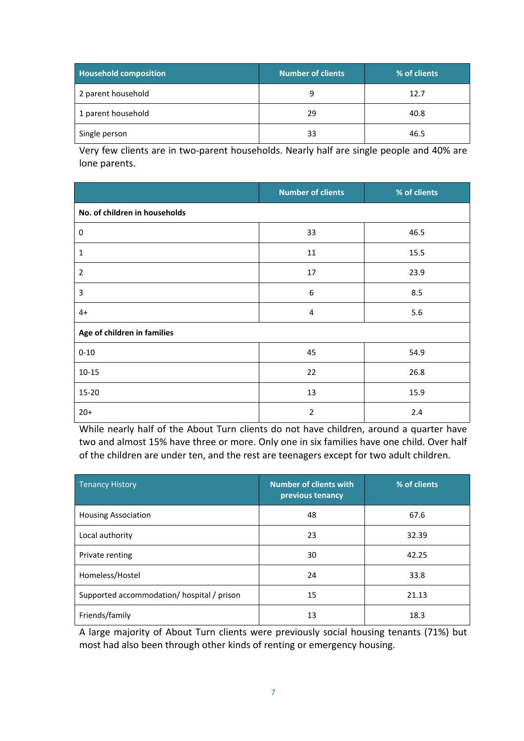| <b>Household composition</b> | <b>Number of clients</b> | % of clients |
|------------------------------|--------------------------|--------------|
| 2 parent household           | q                        | 12.7         |
| 1 parent household           | 29                       | 40.8         |
| Single person                | 33                       | 46.5         |

Very few clients are in two-parent households. Nearly half are single people and 40% are lone parents.

|                               | <b>Number of clients</b> | % of clients |
|-------------------------------|--------------------------|--------------|
| No. of children in households |                          |              |
| 0                             | 33                       | 46.5         |
| $\mathbf{1}$                  | 11                       | 15.5         |
| $\overline{2}$                | 17                       | 23.9         |
| 3                             | 6                        | 8.5          |
| $4+$                          | $\overline{4}$           | 5.6          |
| Age of children in families   |                          |              |
| $0 - 10$                      | 45                       | 54.9         |
| $10 - 15$                     | 22                       | 26.8         |
| 15-20                         | 13                       | 15.9         |
| $20+$                         | $\overline{2}$           | 2.4          |

While nearly half of the About Turn clients do not have children, around a quarter have two and almost 15% have three or more. Only one in six families have one child. Over half of the children are under ten, and the rest are teenagers except for two adult children.

| <b>Tenancy History</b>                     | <b>Number of clients with</b><br>previous tenancy | % of clients |
|--------------------------------------------|---------------------------------------------------|--------------|
| <b>Housing Association</b>                 | 48                                                | 67.6         |
| Local authority                            | 23                                                | 32.39        |
| Private renting                            | 30                                                | 42.25        |
| Homeless/Hostel                            | 24                                                | 33.8         |
| Supported accommodation/ hospital / prison | 15                                                | 21.13        |
| Friends/family                             | 13                                                | 18.3         |

A large majority of About Turn clients were previously social housing tenants (71%) but most had also been through other kinds of renting or emergency housing.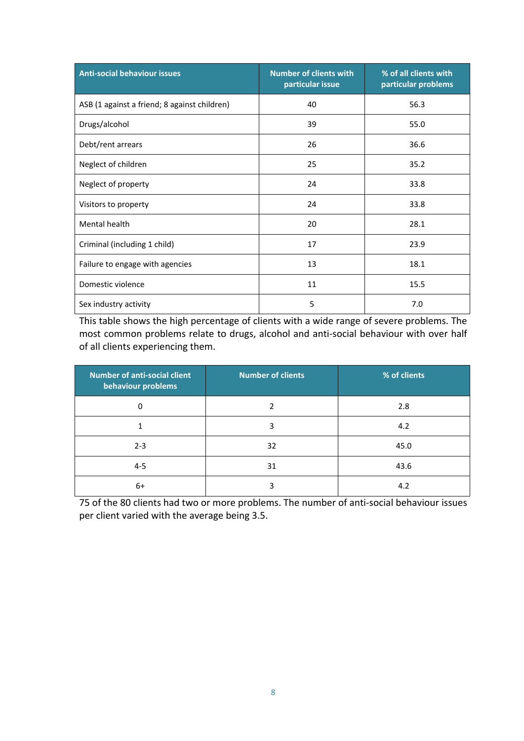| <b>Anti-social behaviour issues</b>          | <b>Number of clients with</b><br>particular issue | % of all clients with<br>particular problems |
|----------------------------------------------|---------------------------------------------------|----------------------------------------------|
| ASB (1 against a friend; 8 against children) | 40                                                | 56.3                                         |
| Drugs/alcohol                                | 39                                                | 55.0                                         |
| Debt/rent arrears                            | 26                                                | 36.6                                         |
| Neglect of children                          | 25                                                | 35.2                                         |
| Neglect of property                          | 24                                                | 33.8                                         |
| Visitors to property                         | 24                                                | 33.8                                         |
| Mental health                                | 20                                                | 28.1                                         |
| Criminal (including 1 child)                 | 17                                                | 23.9                                         |
| Failure to engage with agencies              | 13                                                | 18.1                                         |
| Domestic violence                            | 11                                                | 15.5                                         |
| Sex industry activity                        | 5                                                 | 7.0                                          |

This table shows the high percentage of clients with a wide range of severe problems. The most common problems relate to drugs, alcohol and anti‐social behaviour with over half of all clients experiencing them.

| <b>Number of anti-social client</b><br>behaviour problems | <b>Number of clients</b> | % of clients |
|-----------------------------------------------------------|--------------------------|--------------|
| 0                                                         |                          | 2.8          |
| 1                                                         | 3                        | 4.2          |
| $2 - 3$                                                   | 32                       | 45.0         |
| $4 - 5$                                                   | 31                       | 43.6         |
| 6+                                                        | Э                        | 4.2          |

75 of the 80 clients had two or more problems. The number of anti-social behaviour issues per client varied with the average being 3.5.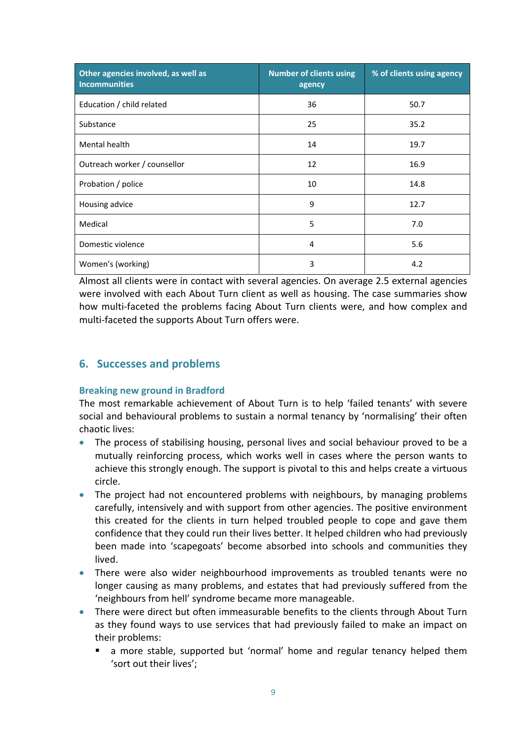| Other agencies involved, as well as<br><b>Incommunities</b> | <b>Number of clients using</b><br>agency | % of clients using agency |
|-------------------------------------------------------------|------------------------------------------|---------------------------|
| Education / child related                                   | 36                                       | 50.7                      |
| Substance                                                   | 25                                       | 35.2                      |
| Mental health                                               | 14                                       | 19.7                      |
| Outreach worker / counsellor                                | 12                                       | 16.9                      |
| Probation / police                                          | 10                                       | 14.8                      |
| Housing advice                                              | 9                                        | 12.7                      |
| Medical                                                     | 5                                        | 7.0                       |
| Domestic violence                                           | 4                                        | 5.6                       |
| Women's (working)                                           | 3                                        | 4.2                       |

Almost all clients were in contact with several agencies. On average 2.5 external agencies were involved with each About Turn client as well as housing. The case summaries show how multi-faceted the problems facing About Turn clients were, and how complex and multi-faceted the supports About Turn offers were.

# **6. Successes and problems**

## **Breaking new ground in Bradford**

The most remarkable achievement of About Turn is to help 'failed tenants' with severe social and behavioural problems to sustain a normal tenancy by 'normalising' their often chaotic lives:

- The process of stabilising housing, personal lives and social behaviour proved to be a mutually reinforcing process, which works well in cases where the person wants to achieve this strongly enough. The support is pivotal to this and helps create a virtuous circle.
- The project had not encountered problems with neighbours, by managing problems carefully, intensively and with support from other agencies. The positive environment this created for the clients in turn helped troubled people to cope and gave them confidence that they could run their lives better. It helped children who had previously been made into 'scapegoats' become absorbed into schools and communities they lived.
- There were also wider neighbourhood improvements as troubled tenants were no longer causing as many problems, and estates that had previously suffered from the 'neighbours from hell' syndrome became more manageable.
- There were direct but often immeasurable benefits to the clients through About Turn as they found ways to use services that had previously failed to make an impact on their problems:
	- a more stable, supported but 'normal' home and regular tenancy helped them 'sort out their lives';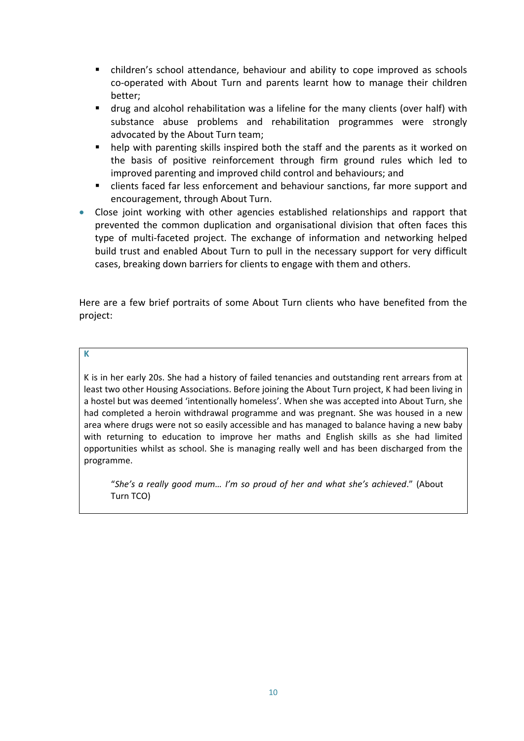- children's school attendance, behaviour and ability to cope improved as schools co‐operated with About Turn and parents learnt how to manage their children better;
- drug and alcohol rehabilitation was a lifeline for the many clients (over half) with substance abuse problems and rehabilitation programmes were strongly advocated by the About Turn team;
- help with parenting skills inspired both the staff and the parents as it worked on the basis of positive reinforcement through firm ground rules which led to improved parenting and improved child control and behaviours; and
- clients faced far less enforcement and behaviour sanctions, far more support and encouragement, through About Turn.
- Close joint working with other agencies established relationships and rapport that prevented the common duplication and organisational division that often faces this type of multi-faceted project. The exchange of information and networking helped build trust and enabled About Turn to pull in the necessary support for very difficult cases, breaking down barriers for clients to engage with them and others.

Here are a few brief portraits of some About Turn clients who have benefited from the project:

## **K**

K is in her early 20s. She had a history of failed tenancies and outstanding rent arrears from at least two other Housing Associations. Before joining the About Turn project, K had been living in a hostel but was deemed 'intentionally homeless'. When she was accepted into About Turn, she had completed a heroin withdrawal programme and was pregnant. She was housed in a new area where drugs were not so easily accessible and has managed to balance having a new baby with returning to education to improve her maths and English skills as she had limited opportunities whilst as school. She is managing really well and has been discharged from the programme.

"*She's a really good mum… I'm so proud of her and what she's achieved*." (About Turn TCO)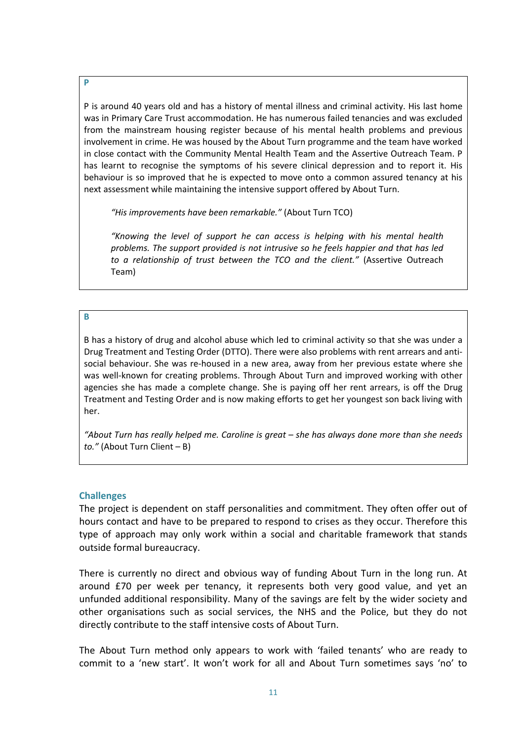P is around 40 years old and has a history of mental illness and criminal activity. His last home was in Primary Care Trust accommodation. He has numerous failed tenancies and was excluded from the mainstream housing register because of his mental health problems and previous involvement in crime. He was housed by the About Turn programme and the team have worked in close contact with the Community Mental Health Team and the Assertive Outreach Team. P has learnt to recognise the symptoms of his severe clinical depression and to report it. His behaviour is so improved that he is expected to move onto a common assured tenancy at his next assessment while maintaining the intensive support offered by About Turn.

*"His improvements have been remarkable."* (About Turn TCO)

*"Knowing the level of support he can access is helping with his mental health problems. The support provided is not intrusive so he feels happier and that has led to a relationship of trust between the TCO and the client."* (Assertive Outreach Team)

#### **B**

B has a history of drug and alcohol abuse which led to criminal activity so that she was under a Drug Treatment and Testing Order (DTTO). There were also problems with rent arrears and anti‐ social behaviour. She was re‐housed in a new area, away from her previous estate where she was well-known for creating problems. Through About Turn and improved working with other agencies she has made a complete change. She is paying off her rent arrears, is off the Drug Treatment and Testing Order and is now making efforts to get her youngest son back living with her.

*"About Turn has really helped me. Caroline is great – she has always done more than she needs to."* (About Turn Client – B)

#### **Challenges**

The project is dependent on staff personalities and commitment. They often offer out of hours contact and have to be prepared to respond to crises as they occur. Therefore this type of approach may only work within a social and charitable framework that stands outside formal bureaucracy.

There is currently no direct and obvious way of funding About Turn in the long run. At around £70 per week per tenancy, it represents both very good value, and yet an unfunded additional responsibility. Many of the savings are felt by the wider society and other organisations such as social services, the NHS and the Police, but they do not directly contribute to the staff intensive costs of About Turn.

The About Turn method only appears to work with 'failed tenants' who are ready to commit to a 'new start'. It won't work for all and About Turn sometimes says 'no' to

**P**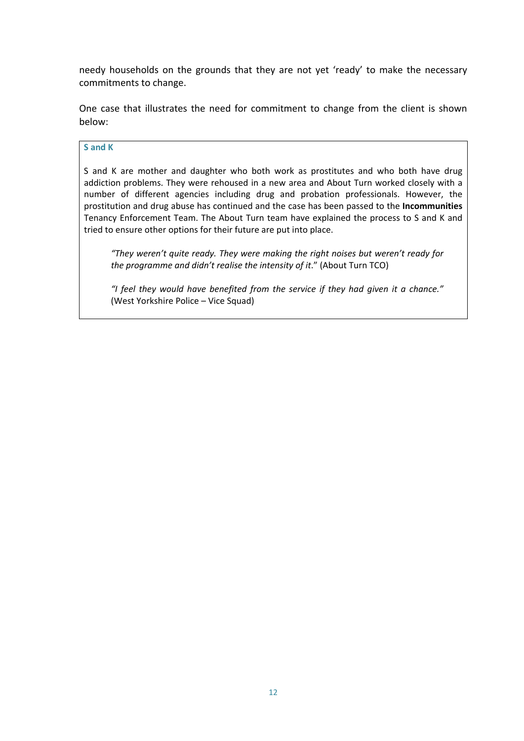needy households on the grounds that they are not yet 'ready' to make the necessary commitments to change.

One case that illustrates the need for commitment to change from the client is shown below:

#### **S and K**

S and K are mother and daughter who both work as prostitutes and who both have drug addiction problems. They were rehoused in a new area and About Turn worked closely with a number of different agencies including drug and probation professionals. However, the prostitution and drug abuse has continued and the case has been passed to the **Incommunities** Tenancy Enforcement Team. The About Turn team have explained the process to S and K and tried to ensure other options for their future are put into place.

*"They weren't quite ready. They were making the right noises but weren't ready for the programme and didn't realise the intensity of it*." (About Turn TCO)

*"I feel they would have benefited from the service if they had given it a chance."* (West Yorkshire Police – Vice Squad)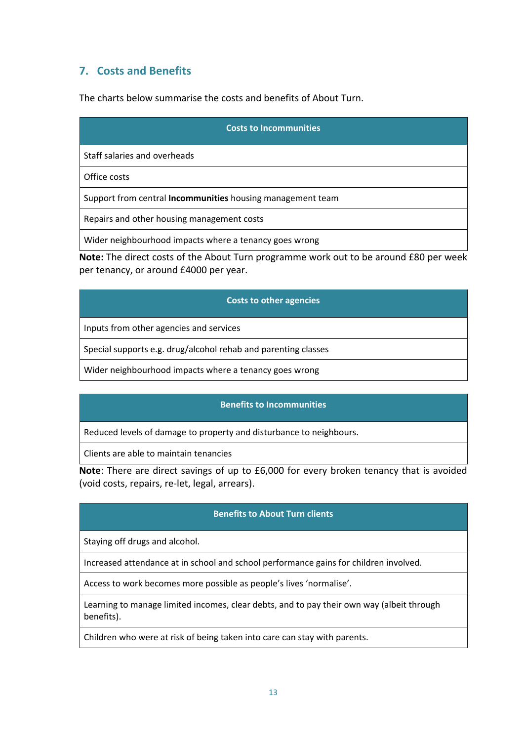# **7. Costs and Benefits**

The charts below summarise the costs and benefits of About Turn.

| <b>Costs to Incommunities</b>                                     |  |
|-------------------------------------------------------------------|--|
| Staff salaries and overheads                                      |  |
| Office costs                                                      |  |
| Support from central <b>Incommunities</b> housing management team |  |
| Repairs and other housing management costs                        |  |
| Wider neighbourhood impacts where a tenancy goes wrong            |  |

**Note:** The direct costs of the About Turn programme work out to be around £80 per week per tenancy, or around £4000 per year.

## **Costs to other agencies**

Inputs from other agencies and services

Special supports e.g. drug/alcohol rehab and parenting classes

Wider neighbourhood impacts where a tenancy goes wrong

## **Benefits to Incommunities**

Reduced levels of damage to property and disturbance to neighbours.

Clients are able to maintain tenancies

**Note**: There are direct savings of up to £6,000 for every broken tenancy that is avoided (void costs, repairs, re‐let, legal, arrears).

## **Benefits to About Turn clients**

Staying off drugs and alcohol.

Increased attendance at in school and school performance gains for children involved.

Access to work becomes more possible as people's lives 'normalise'.

Learning to manage limited incomes, clear debts, and to pay their own way (albeit through benefits).

Children who were at risk of being taken into care can stay with parents.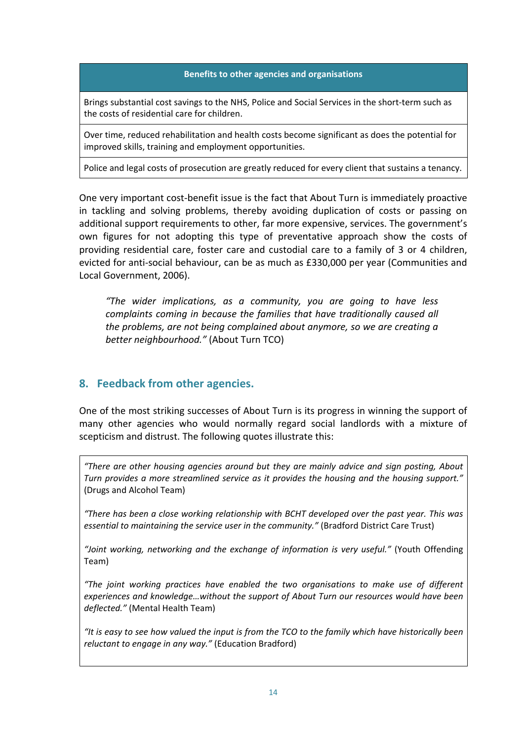## **Benefits to other agencies and organisations**

Brings substantial cost savings to the NHS, Police and Social Services in the short‐term such as the costs of residential care for children.

Over time, reduced rehabilitation and health costs become significant as does the potential for improved skills, training and employment opportunities.

Police and legal costs of prosecution are greatly reduced for every client that sustains a tenancy.

One very important cost‐benefit issue is the fact that About Turn is immediately proactive in tackling and solving problems, thereby avoiding duplication of costs or passing on additional support requirements to other, far more expensive, services. The government's own figures for not adopting this type of preventative approach show the costs of providing residential care, foster care and custodial care to a family of 3 or 4 children, evicted for anti‐social behaviour, can be as much as £330,000 per year (Communities and Local Government, 2006).

*"The wider implications, as a community, you are going to have less complaints coming in because the families that have traditionally caused all the problems, are not being complained about anymore, so we are creating a better neighbourhood."* (About Turn TCO)

## **8. Feedback from other agencies.**

One of the most striking successes of About Turn is its progress in winning the support of many other agencies who would normally regard social landlords with a mixture of scepticism and distrust. The following quotes illustrate this:

*"There are other housing agencies around but they are mainly advice and sign posting, About Turn provides a more streamlined service as it provides the housing and the housing support."* (Drugs and Alcohol Team)

*"There has been a close working relationship with BCHT developed over the past year. This was essential to maintaining the service user in the community."* (Bradford District Care Trust)

*"Joint working, networking and the exchange of information is very useful."* (Youth Offending Team)

*"The joint working practices have enabled the two organisations to make use of different experiences and knowledge…without the support of About Turn our resources would have been deflected."* (Mental Health Team)

"It is easy to see how valued the input is from the TCO to the family which have historically been *reluctant to engage in any way."* (Education Bradford)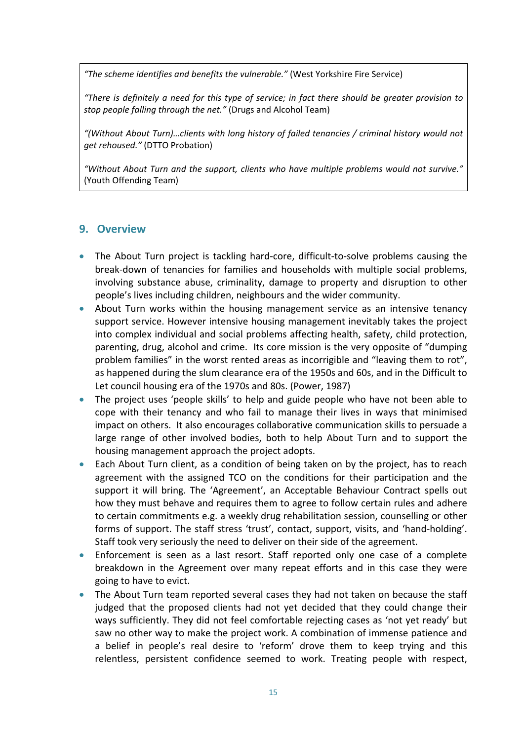*"The scheme identifies and benefits the vulnerable."* (West Yorkshire Fire Service)

*"There is definitely a need for this type of service; in fact there should be greater provision to stop people falling through the net."* (Drugs and Alcohol Team)

*"(Without About Turn)…clients with long history of failed tenancies / criminal history would not get rehoused."* (DTTO Probation)

*"Without About Turn and the support, clients who have multiple problems would not survive."* (Youth Offending Team)

# **9. Overview**

- The About Turn project is tackling hard-core, difficult-to-solve problems causing the break‐down of tenancies for families and households with multiple social problems, involving substance abuse, criminality, damage to property and disruption to other people's lives including children, neighbours and the wider community.
- About Turn works within the housing management service as an intensive tenancy support service. However intensive housing management inevitably takes the project into complex individual and social problems affecting health, safety, child protection, parenting, drug, alcohol and crime. Its core mission is the very opposite of "dumping problem families" in the worst rented areas as incorrigible and "leaving them to rot", as happened during the slum clearance era of the 1950s and 60s, and in the Difficult to Let council housing era of the 1970s and 80s. (Power, 1987)
- The project uses 'people skills' to help and guide people who have not been able to cope with their tenancy and who fail to manage their lives in ways that minimised impact on others. It also encourages collaborative communication skills to persuade a large range of other involved bodies, both to help About Turn and to support the housing management approach the project adopts.
- Each About Turn client, as a condition of being taken on by the project, has to reach agreement with the assigned TCO on the conditions for their participation and the support it will bring. The 'Agreement', an Acceptable Behaviour Contract spells out how they must behave and requires them to agree to follow certain rules and adhere to certain commitments e.g. a weekly drug rehabilitation session, counselling or other forms of support. The staff stress 'trust', contact, support, visits, and 'hand-holding'. Staff took very seriously the need to deliver on their side of the agreement.
- Enforcement is seen as a last resort. Staff reported only one case of a complete breakdown in the Agreement over many repeat efforts and in this case they were going to have to evict.
- The About Turn team reported several cases they had not taken on because the staff judged that the proposed clients had not yet decided that they could change their ways sufficiently. They did not feel comfortable rejecting cases as 'not yet ready' but saw no other way to make the project work. A combination of immense patience and a belief in people's real desire to 'reform' drove them to keep trying and this relentless, persistent confidence seemed to work. Treating people with respect,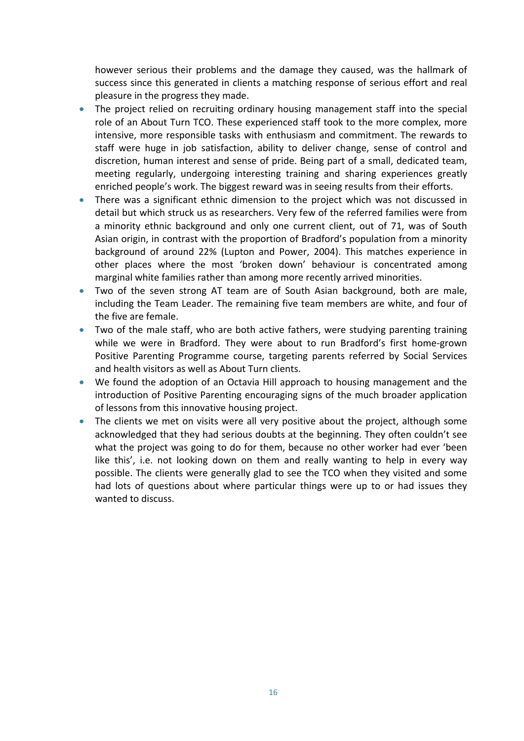however serious their problems and the damage they caused, was the hallmark of success since this generated in clients a matching response of serious effort and real pleasure in the progress they made.

- The project relied on recruiting ordinary housing management staff into the special role of an About Turn TCO. These experienced staff took to the more complex, more intensive, more responsible tasks with enthusiasm and commitment. The rewards to staff were huge in job satisfaction, ability to deliver change, sense of control and discretion, human interest and sense of pride. Being part of a small, dedicated team, meeting regularly, undergoing interesting training and sharing experiences greatly enriched people's work. The biggest reward was in seeing results from their efforts.
- There was a significant ethnic dimension to the project which was not discussed in detail but which struck us as researchers. Very few of the referred families were from a minority ethnic background and only one current client, out of 71, was of South Asian origin, in contrast with the proportion of Bradford's population from a minority background of around 22% (Lupton and Power, 2004). This matches experience in other places where the most 'broken down' behaviour is concentrated among marginal white families rather than among more recently arrived minorities.
- Two of the seven strong AT team are of South Asian background, both are male, including the Team Leader. The remaining five team members are white, and four of the five are female.
- Two of the male staff, who are both active fathers, were studying parenting training while we were in Bradford. They were about to run Bradford's first home-grown Positive Parenting Programme course, targeting parents referred by Social Services and health visitors as well as About Turn clients.
- We found the adoption of an Octavia Hill approach to housing management and the introduction of Positive Parenting encouraging signs of the much broader application of lessons from this innovative housing project.
- The clients we met on visits were all very positive about the project, although some acknowledged that they had serious doubts at the beginning. They often couldn't see what the project was going to do for them, because no other worker had ever 'been like this', i.e. not looking down on them and really wanting to help in every way possible. The clients were generally glad to see the TCO when they visited and some had lots of questions about where particular things were up to or had issues they wanted to discuss.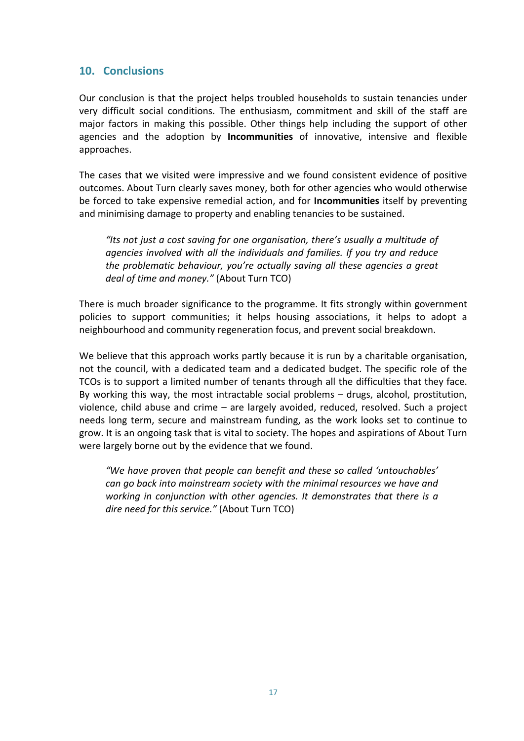# **10. Conclusions**

Our conclusion is that the project helps troubled households to sustain tenancies under very difficult social conditions. The enthusiasm, commitment and skill of the staff are major factors in making this possible. Other things help including the support of other agencies and the adoption by **Incommunities** of innovative, intensive and flexible approaches.

The cases that we visited were impressive and we found consistent evidence of positive outcomes. About Turn clearly saves money, both for other agencies who would otherwise be forced to take expensive remedial action, and for **Incommunities** itself by preventing and minimising damage to property and enabling tenancies to be sustained.

*"Its not just a cost saving for one organisation, there's usually a multitude of agencies involved with all the individuals and families. If you try and reduce the problematic behaviour, you're actually saving all these agencies a great deal of time and money."* (About Turn TCO)

There is much broader significance to the programme. It fits strongly within government policies to support communities; it helps housing associations, it helps to adopt a neighbourhood and community regeneration focus, and prevent social breakdown.

We believe that this approach works partly because it is run by a charitable organisation, not the council, with a dedicated team and a dedicated budget. The specific role of the TCOs is to support a limited number of tenants through all the difficulties that they face. By working this way, the most intractable social problems – drugs, alcohol, prostitution, violence, child abuse and crime – are largely avoided, reduced, resolved. Such a project needs long term, secure and mainstream funding, as the work looks set to continue to grow. It is an ongoing task that is vital to society. The hopes and aspirations of About Turn were largely borne out by the evidence that we found.

*"We have proven that people can benefit and these so called 'untouchables' can go back into mainstream society with the minimal resources we have and working in conjunction with other agencies. It demonstrates that there is a dire need for this service."* (About Turn TCO)